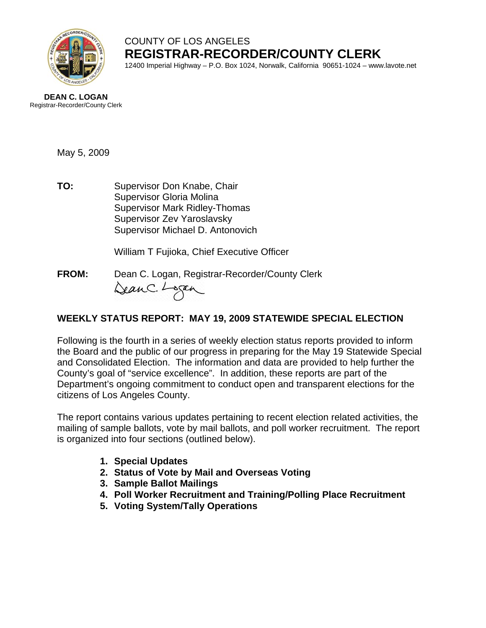

## COUNTY OF LOS ANGELES **REGISTRAR-RECORDER/COUNTY CLERK** 12400 Imperial Highway – P.O. Box 1024, Norwalk, California 90651-1024 – www.lavote.net

**DEAN C. LOGAN** Registrar-Recorder/County Clerk

May 5, 2009

**TO:** Supervisor Don Knabe, Chair Supervisor Gloria Molina Supervisor Mark Ridley-Thomas Supervisor Zev Yaroslavsky Supervisor Michael D. Antonovich

William T Fujioka, Chief Executive Officer

**FROM:** Dean C. Logan, Registrar-Recorder/County Clerk DeanC. Logan

# **WEEKLY STATUS REPORT: MAY 19, 2009 STATEWIDE SPECIAL ELECTION**

Following is the fourth in a series of weekly election status reports provided to inform the Board and the public of our progress in preparing for the May 19 Statewide Special and Consolidated Election. The information and data are provided to help further the County's goal of "service excellence". In addition, these reports are part of the Department's ongoing commitment to conduct open and transparent elections for the citizens of Los Angeles County.

The report contains various updates pertaining to recent election related activities, the mailing of sample ballots, vote by mail ballots, and poll worker recruitment. The report is organized into four sections (outlined below).

- **1. Special Updates**
- **2. Status of Vote by Mail and Overseas Voting**
- **3. Sample Ballot Mailings**
- **4. Poll Worker Recruitment and Training/Polling Place Recruitment**
- **5. Voting System/Tally Operations**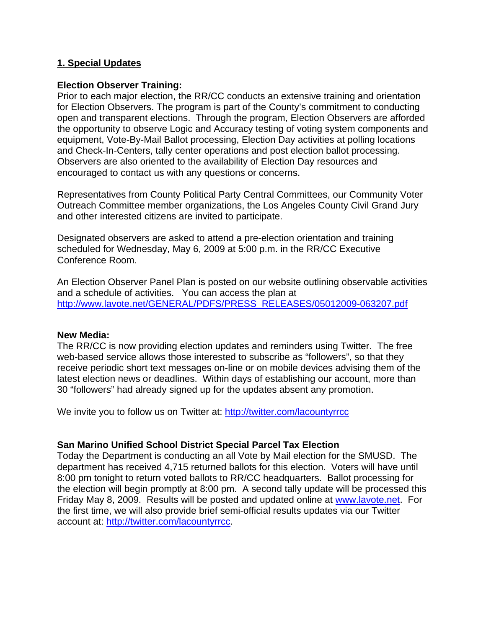### **1. Special Updates**

#### **Election Observer Training:**

Prior to each major election, the RR/CC conducts an extensive training and orientation for Election Observers. The program is part of the County's commitment to conducting open and transparent elections. Through the program, Election Observers are afforded the opportunity to observe Logic and Accuracy testing of voting system components and equipment, Vote-By-Mail Ballot processing, Election Day activities at polling locations and Check-In-Centers, tally center operations and post election ballot processing. Observers are also oriented to the availability of Election Day resources and encouraged to contact us with any questions or concerns.

Representatives from County Political Party Central Committees, our Community Voter Outreach Committee member organizations, the Los Angeles County Civil Grand Jury and other interested citizens are invited to participate.

Designated observers are asked to attend a pre-election orientation and training scheduled for Wednesday, May 6, 2009 at 5:00 p.m. in the RR/CC Executive Conference Room.

An Election Observer Panel Plan is posted on our website outlining observable activities and a schedule of activities. You can access the plan at [http://www.lavote.net/GENERAL/PDFS/PRESS\\_RELEASES/05012009-063207.pdf](http://www.lavote.net/GENERAL/PDFS/PRESS_RELEASES/05012009-063207.pdf)

#### **New Media:**

The RR/CC is now providing election updates and reminders using Twitter. The free web-based service allows those interested to subscribe as "followers", so that they receive periodic short text messages on-line or on mobile devices advising them of the latest election news or deadlines. Within days of establishing our account, more than 30 "followers" had already signed up for the updates absent any promotion.

We invite you to follow us on Twitter at: <http://twitter.com/lacountyrrcc>

### **San Marino Unified School District Special Parcel Tax Election**

Today the Department is conducting an all Vote by Mail election for the SMUSD. The department has received 4,715 returned ballots for this election. Voters will have until 8:00 pm tonight to return voted ballots to RR/CC headquarters. Ballot processing for the election will begin promptly at 8:00 pm. A second tally update will be processed this Friday May 8, 2009. Results will be posted and updated online at [www.lavote.net](http://www.lavote.net/). For the first time, we will also provide brief semi-official results updates via our Twitter account at:<http://twitter.com/lacountyrrcc>.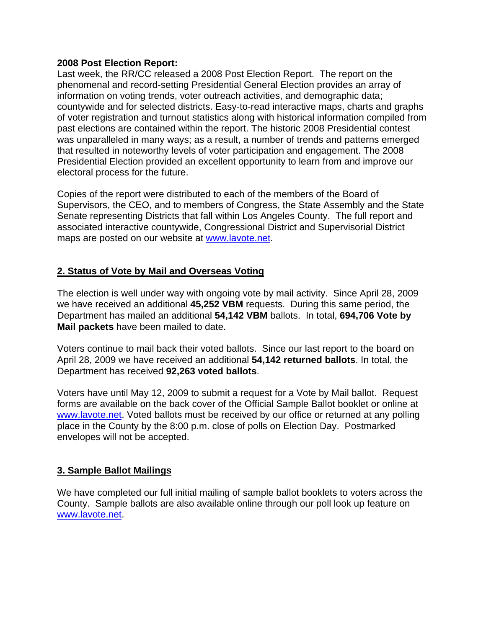#### **2008 Post Election Report:**

Last week, the RR/CC released a 2008 Post Election Report. The report on the phenomenal and record-setting Presidential General Election provides an array of information on voting trends, voter outreach activities, and demographic data; countywide and for selected districts. Easy-to-read interactive maps, charts and graphs of voter registration and turnout statistics along with historical information compiled from past elections are contained within the report. The historic 2008 Presidential contest was unparalleled in many ways; as a result, a number of trends and patterns emerged that resulted in noteworthy levels of voter participation and engagement. The 2008 Presidential Election provided an excellent opportunity to learn from and improve our electoral process for the future.

Copies of the report were distributed to each of the members of the Board of Supervisors, the CEO, and to members of Congress, the State Assembly and the State Senate representing Districts that fall within Los Angeles County. The full report and associated interactive countywide, Congressional District and Supervisorial District maps are posted on our website at [www.lavote.net.](http://www.lavote.net/)

# **2. Status of Vote by Mail and Overseas Voting**

The election is well under way with ongoing vote by mail activity. Since April 28, 2009 we have received an additional **45,252 VBM** requests. During this same period, the Department has mailed an additional **54,142 VBM** ballots. In total, **694,706 Vote by Mail packets** have been mailed to date.

Voters continue to mail back their voted ballots. Since our last report to the board on April 28, 2009 we have received an additional **54,142 returned ballots**. In total, the Department has received **92,263 voted ballots**.

Voters have until May 12, 2009 to submit a request for a Vote by Mail ballot. Request forms are available on the back cover of the Official Sample Ballot booklet or online at [www.lavote.net](http://www.lavote.net/). Voted ballots must be received by our office or returned at any polling place in the County by the 8:00 p.m. close of polls on Election Day. Postmarked envelopes will not be accepted.

### **3. Sample Ballot Mailings**

We have completed our full initial mailing of sample ballot booklets to voters across the County. Sample ballots are also available online through our poll look up feature on [www.lavote.net](http://www.lavote.net/).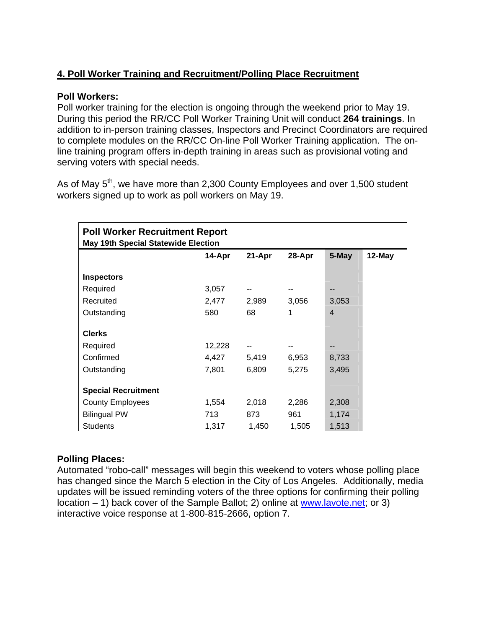# **4. Poll Worker Training and Recruitment/Polling Place Recruitment**

## **Poll Workers:**

Poll worker training for the election is ongoing through the weekend prior to May 19. During this period the RR/CC Poll Worker Training Unit will conduct **264 trainings**. In addition to in-person training classes, Inspectors and Precinct Coordinators are required to complete modules on the RR/CC On-line Poll Worker Training application. The online training program offers in-depth training in areas such as provisional voting and serving voters with special needs.

As of May 5<sup>th</sup>, we have more than 2,300 County Employees and over 1,500 student workers signed up to work as poll workers on May 19.

| <b>Poll Worker Recruitment Report</b><br><b>May 19th Special Statewide Election</b> |        |        |        |                |        |
|-------------------------------------------------------------------------------------|--------|--------|--------|----------------|--------|
|                                                                                     | 14-Apr | 21-Apr | 28-Apr | 5-May          | 12-May |
| <b>Inspectors</b>                                                                   |        |        |        |                |        |
| Required                                                                            | 3,057  |        | --     | --             |        |
| Recruited                                                                           | 2,477  | 2,989  | 3,056  | 3,053          |        |
| Outstanding                                                                         | 580    | 68     | 1      | $\overline{4}$ |        |
| <b>Clerks</b>                                                                       |        |        |        |                |        |
| Required                                                                            | 12,228 |        |        | --             |        |
| Confirmed                                                                           | 4,427  | 5,419  | 6,953  | 8,733          |        |
| Outstanding                                                                         | 7,801  | 6,809  | 5,275  | 3,495          |        |
| <b>Special Recruitment</b>                                                          |        |        |        |                |        |
| <b>County Employees</b>                                                             | 1,554  | 2,018  | 2,286  | 2,308          |        |
| <b>Bilingual PW</b>                                                                 | 713    | 873    | 961    | 1,174          |        |
| <b>Students</b>                                                                     | 1,317  | 1,450  | 1,505  | 1,513          |        |

# **Polling Places:**

Automated "robo-call" messages will begin this weekend to voters whose polling place has changed since the March 5 election in the City of Los Angeles. Additionally, media updates will be issued reminding voters of the three options for confirming their polling location – 1) back cover of the Sample Ballot; 2) online at [www.lavote.net](http://www.lavote.net/); or 3) interactive voice response at 1-800-815-2666, option 7.